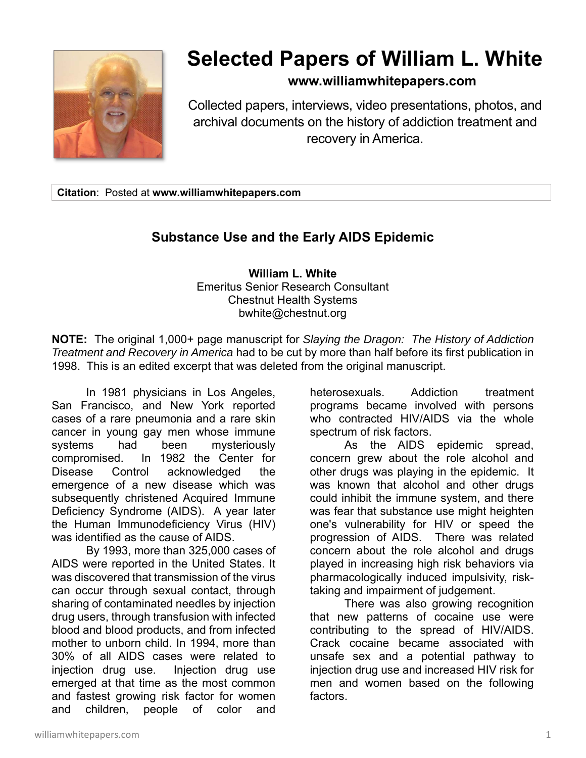

## **Selected Papers of William L. White**

## **www.williamwhitepapers.com**

Collected papers, interviews, video presentations, photos, and archival documents on the history of addiction treatment and recovery in America.

**Citation**: Posted at **www.williamwhitepapers.com** 

## **Substance Use and the Early AIDS Epidemic**

**William L. White**  Emeritus Senior Research Consultant Chestnut Health Systems bwhite@chestnut.org

**NOTE:** The original 1,000+ page manuscript for *Slaying the Dragon: The History of Addiction Treatment and Recovery in America* had to be cut by more than half before its first publication in 1998. This is an edited excerpt that was deleted from the original manuscript.

In 1981 physicians in Los Angeles, San Francisco, and New York reported cases of a rare pneumonia and a rare skin cancer in young gay men whose immune systems had been mysteriously compromised. In 1982 the Center for Disease Control acknowledged the emergence of a new disease which was subsequently christened Acquired Immune Deficiency Syndrome (AIDS). A year later the Human Immunodeficiency Virus (HIV) was identified as the cause of AIDS.

By 1993, more than 325,000 cases of AIDS were reported in the United States. It was discovered that transmission of the virus can occur through sexual contact, through sharing of contaminated needles by injection drug users, through transfusion with infected blood and blood products, and from infected mother to unborn child. In 1994, more than 30% of all AIDS cases were related to injection drug use. Injection drug use emerged at that time as the most common and fastest growing risk factor for women and children, people of color and

heterosexuals. Addiction treatment programs became involved with persons who contracted HIV/AIDS via the whole spectrum of risk factors.

 As the AIDS epidemic spread, concern grew about the role alcohol and other drugs was playing in the epidemic. It was known that alcohol and other drugs could inhibit the immune system, and there was fear that substance use might heighten one's vulnerability for HIV or speed the progression of AIDS. There was related concern about the role alcohol and drugs played in increasing high risk behaviors via pharmacologically induced impulsivity, risktaking and impairment of judgement.

 There was also growing recognition that new patterns of cocaine use were contributing to the spread of HIV/AIDS. Crack cocaine became associated with unsafe sex and a potential pathway to injection drug use and increased HIV risk for men and women based on the following factors.